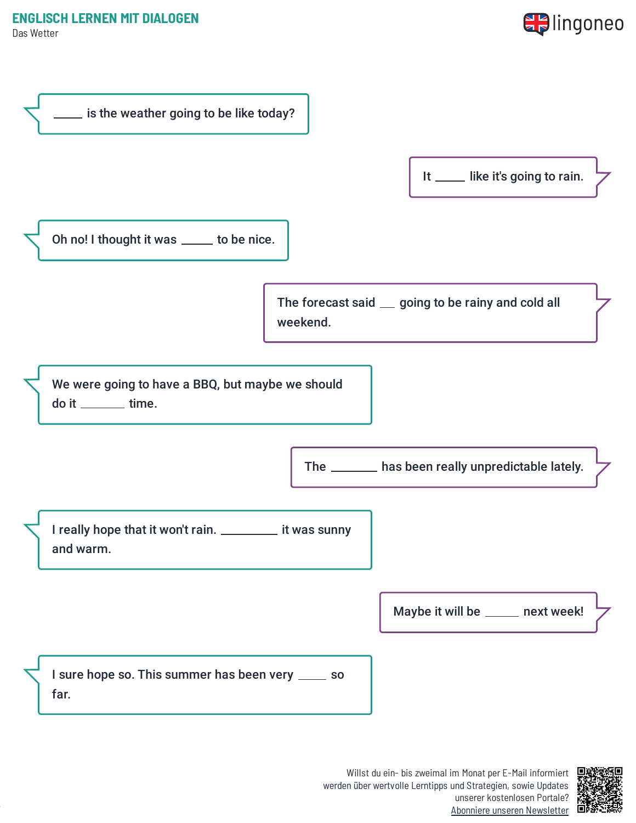## **ENGLISCH LERNEN MIT DIALOGEN**

Das Wetter